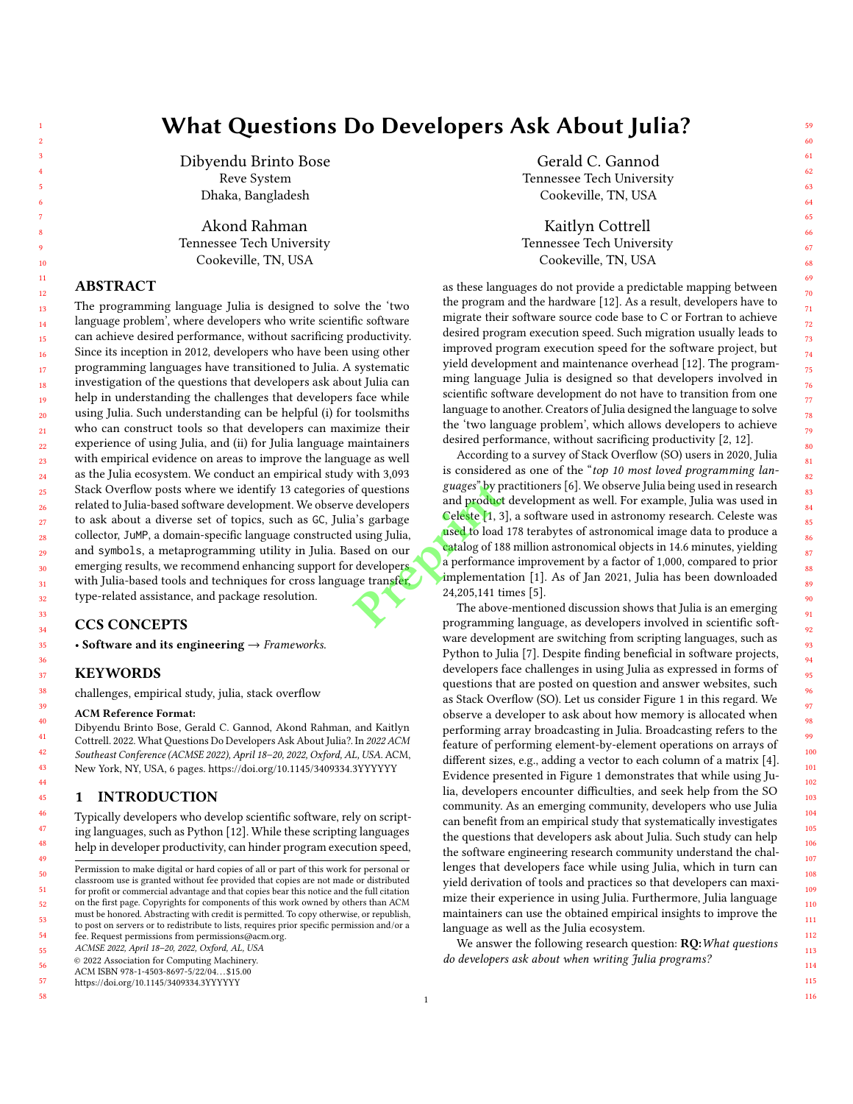# What Questions Do Developers Ask About Julia?

Dibyendu Brinto Bose Reve System Dhaka, Bangladesh

Akond Rahman Tennessee Tech University Cookeville, TN, USA

# ABSTRACT

The programming language Julia is designed to solve the 'two language problem', where developers who write scientific software can achieve desired performance, without sacrificing productivity. Since its inception in 2012, developers who have been using other programming languages have transitioned to Julia. A systematic investigation of the questions that developers ask about Julia can help in understanding the challenges that developers face while using Julia. Such understanding can be helpful (i) for toolsmiths who can construct tools so that developers can maximize their experience of using Julia, and (ii) for Julia language maintainers with empirical evidence on areas to improve the language as well as the Julia ecosystem. We conduct an empirical study with 3,093 Stack Overflow posts where we identify 13 categories of questions related to Julia-based software development. We observe developers to ask about a diverse set of topics, such as GC, Julia's garbage collector, JuMP, a domain-specific language constructed using Julia, and symbols, a metaprogramming utility in Julia. Based on our emerging results, we recommend enhancing support for developers with Julia-based tools and techniques for cross language transfer, type-related assistance, and package resolution.

# CCS CONCEPTS

• Software and its engineering  $\rightarrow$  Frameworks.

#### KEYWORDS

challenges, empirical study, julia, stack overflow

#### ACM Reference Format:

Dibyendu Brinto Bose, Gerald C. Gannod, Akond Rahman, and Kaitlyn Cottrell. 2022. What Questions Do Developers Ask About Julia?. In 2022 ACM Southeast Conference (ACMSE 2022), April 18–20, 2022, Oxford, AL, USA. ACM, New York, NY, USA, 6 pages. https://doi.org/10.1145/3409334.3YYYYYY

# 1 INTRODUCTION

Typically developers who develop scientific software, rely on scripting languages, such as Python [12]. While these scripting languages help in developer productivity, can hinder program execution speed,

55 ACMSE 2022, April 18–20, 2022, Oxford, AL, USA

56 © 2022 Association for Computing Machinery.

57 https://doi.org/10.1145/3409334.3YYYYYY

58

Gerald C. Gannod Tennessee Tech University Cookeville, TN, USA

Kaitlyn Cottrell Tennessee Tech University Cookeville, TN, USA

as these languages do not provide a predictable mapping between the program and the hardware [12]. As a result, developers have to migrate their software source code base to C or Fortran to achieve desired program execution speed. Such migration usually leads to improved program execution speed for the software project, but yield development and maintenance overhead [12]. The programming language Julia is designed so that developers involved in scientific software development do not have to transition from one language to another. Creators of Julia designed the language to solve the 'two language problem', which allows developers to achieve desired performance, without sacrificing productivity [2, 12].

According to a survey of Stack Overflow (SO) users in 2020, Julia is considered as one of the "top 10 most loved programming languages" by practitioners [6]. We observe Julia being used in research and product development as well. For example, Julia was used in Celeste [1, 3], a software used in astronomy research. Celeste was used to load 178 terabytes of astronomical image data to produce a catalog of 188 million astronomical objects in 14.6 minutes, yielding a performance improvement by a factor of 1,000, compared to prior implementation [1]. As of Jan 2021, Julia has been downloaded 24,205,141 times [5]. For questions guages" by p<br>
developers and product<br>
a's garbage Celeste [1, 3<br>
using Julia,<br>
sed on our<br>
developers a performan<br>
ge transfer implementa<br>
24,205,141 ti<br>
The above programmir

The above-mentioned discussion shows that Julia is an emerging programming language, as developers involved in scientific software development are switching from scripting languages, such as Python to Julia [7]. Despite finding beneficial in software projects, developers face challenges in using Julia as expressed in forms of questions that are posted on question and answer websites, such as Stack Overflow (SO). Let us consider Figure 1 in this regard. We observe a developer to ask about how memory is allocated when performing array broadcasting in Julia. Broadcasting refers to the feature of performing element-by-element operations on arrays of different sizes, e.g., adding a vector to each column of a matrix [4]. Evidence presented in Figure 1 demonstrates that while using Julia, developers encounter difficulties, and seek help from the SO community. As an emerging community, developers who use Julia can benefit from an empirical study that systematically investigates the questions that developers ask about Julia. Such study can help the software engineering research community understand the challenges that developers face while using Julia, which in turn can yield derivation of tools and practices so that developers can maximize their experience in using Julia. Furthermore, Julia language maintainers can use the obtained empirical insights to improve the language as well as the Julia ecosystem.

We answer the following research question: RQ: What questions do developers ask about when writing Julia programs?

116

59

<sup>50</sup> 51 52 53 54 Permission to make digital or hard copies of all or part of this work for personal or classroom use is granted without fee provided that copies are not made or distributed for profit or commercial advantage and that copies bear this notice and the full citation on the first page. Copyrights for components of this work owned by others than ACM must be honored. Abstracting with credit is permitted. To copy otherwise, or republish, to post on servers or to redistribute to lists, requires prior specific permission and/or a fee. Request permissions from permissions@acm.org.

ACM ISBN 978-1-4503-8697-5/22/04. . . \$15.00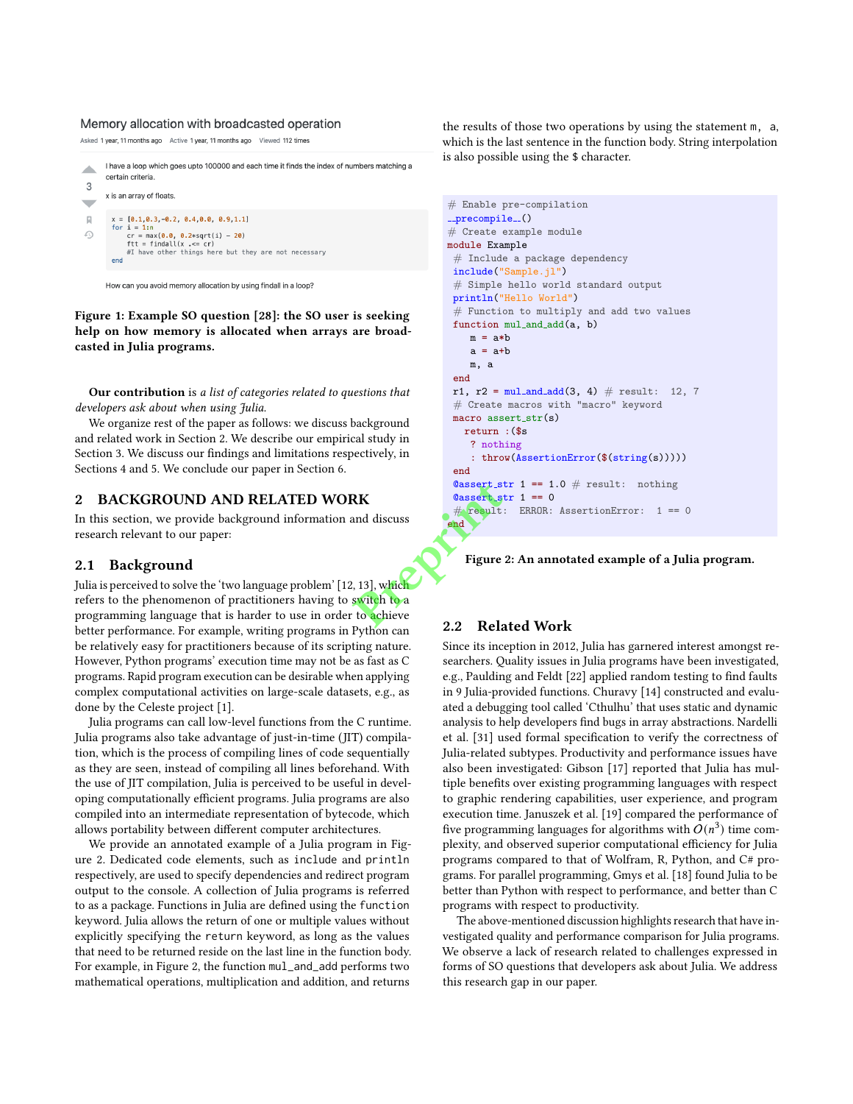#### Memory allocation with broadcasted operation

Asked 1 year, 11 months ago Active 1 year, 11 months ago Viewed 112 times

I have a loop which goes upto 100000 and each time it finds the index of numbers matching a zh. certain criteria  $\mathcal{R}$ x is an array of floats  $\overline{\phantom{a}}$  $x = [0.1, 0.3, -0.2, 0.4, 0.0, 0.9, 1.1]$  $\overline{\mathbb{R}}$ An i = 1:n<br>
or = max(0.0, 0.2\*sqrt(i) - 20)<br>
or = max(0.0, 0.2\*sqrt(i) - 20)<br>
ftt = findall(x .<= cr)<br>
#I have other things here but they are not necessary<br>
and  $\Omega$ end

How can you avoid memory allocation by using findall in a loop?

Figure 1: Example SO question [28]: the SO user is seeking help on how memory is allocated when arrays are broadcasted in Julia programs.

Our contribution is a list of categories related to questions that developers ask about when using Julia.

We organize rest of the paper as follows: we discuss background and related work in Section 2. We describe our empirical study in Section 3. We discuss our findings and limitations respectively, in Sections 4 and 5. We conclude our paper in Section 6.

## 2 BACKGROUND AND RELATED WORK

In this section, we provide background information and discuss research relevant to our paper:

## 2.1 Background

Julia is perceived to solve the 'two language problem' [12, 13], which refers to the phenomenon of practitioners having to switch to a programming language that is harder to use in order to achieve better performance. For example, writing programs in Python can be relatively easy for practitioners because of its scripting nature. However, Python programs' execution time may not be as fast as C programs. Rapid program execution can be desirable when applying complex computational activities on large-scale datasets, e.g., as done by the Celeste project [1]. **PRINTER**<br> **PRINTIPLE SEARCH AND RESERVED AND RESERVED BY A PRINTIPLE SCALE SEARCH AND RESERVED ASSOCIATE**<br> **PRINTIPLE SCALE SEARCH AND RESPONSIVE SCALE SEARCH AND RESPONSIVE SCALE SEARCH SCALE SEARCH SCALE SEARCH SCALE SE** 

Julia programs can call low-level functions from the C runtime. Julia programs also take advantage of just-in-time (JIT) compilation, which is the process of compiling lines of code sequentially as they are seen, instead of compiling all lines beforehand. With the use of JIT compilation, Julia is perceived to be useful in developing computationally efficient programs. Julia programs are also compiled into an intermediate representation of bytecode, which allows portability between different computer architectures.

We provide an annotated example of a Julia program in Figure 2. Dedicated code elements, such as include and println respectively, are used to specify dependencies and redirect program output to the console. A collection of Julia programs is referred to as a package. Functions in Julia are defined using the function keyword. Julia allows the return of one or multiple values without explicitly specifying the return keyword, as long as the values that need to be returned reside on the last line in the function body. For example, in Figure 2, the function mul\_and\_add performs two mathematical operations, multiplication and addition, and returns

the results of those two operations by using the statement m, a, which is the last sentence in the function body. String interpolation is also possible using the \$ character.

```
# Enable pre-compilation
\_precompile ()
# Create example module
module Example
 # Include a package dependency
 include("Sample.jl")
 # Simple hello world standard output
println("Hello World")
 # Function to multiply and add two values
 function mul_and_add(a, b)
    m = a * ba = a + bm, a
 end
r1, r2 = \text{mul-and-add}(3, 4) # result: 12, 7# Create macros with "macro" keyword
macro assert_str(s)
   return :($s
    ? nothing
    : throw(AssertionError($(string(s)))))
 end
 @assert_str 1 == 1.0 # result: nothing
 \text{Qasserstr 1} == 0# result: ERROR: AssertionError: 1 == 0
end
```

```
Figure 2: An annotated example of a Julia program.
```
# 2.2 Related Work

1 better than Python with respect to performance, and better than C Since its inception in 2012, Julia has garnered interest amongst researchers. Quality issues in Julia programs have been investigated, e.g., Paulding and Feldt [22] applied random testing to find faults in 9 Julia-provided functions. Churavy [14] constructed and evaluated a debugging tool called 'Cthulhu' that uses static and dynamic analysis to help developers find bugs in array abstractions. Nardelli et al. [31] used formal specification to verify the correctness of Julia-related subtypes. Productivity and performance issues have also been investigated: Gibson [17] reported that Julia has multiple benefits over existing programming languages with respect to graphic rendering capabilities, user experience, and program execution time. Januszek et al. [19] compared the performance of five programming languages for algorithms with  $O(n^3)$  time complexity, and observed superior computational efficiency for Julia programs compared to that of Wolfram, R, Python, and C# programs. For parallel programming, Gmys et al. [18] found Julia to be programs with respect to productivity.

The above-mentioned discussion highlights research that have investigated quality and performance comparison for Julia programs. We observe a lack of research related to challenges expressed in forms of SO questions that developers ask about Julia. We address this research gap in our paper.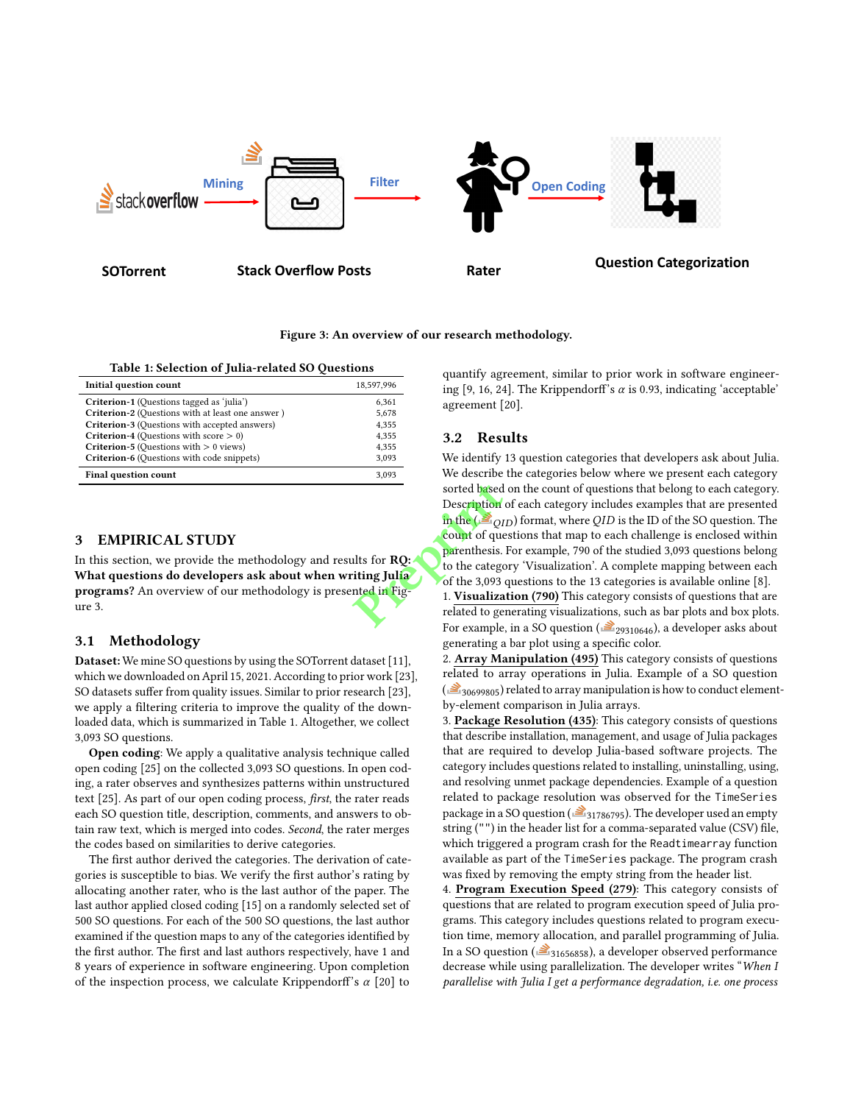

Figure 3: An overview of our research methodology.

#### Table 1: Selection of Julia-related SO Questions

| Initial question count                            | 18.597.996 |
|---------------------------------------------------|------------|
| Criterion-1 (Questions tagged as 'julia')         | 6,361      |
| Criterion-2 (Questions with at least one answer)  | 5,678      |
| Criterion-3 (Questions with accepted answers)     | 4.355      |
| <b>Criterion-4</b> (Questions with score $> 0$ )  | 4,355      |
| <b>Criterion-5</b> (Questions with $> 0$ views)   | 4.355      |
| <b>Criterion-6</b> (Questions with code snippets) | 3.093      |
| <b>Final question count</b>                       | 3.093      |

## 3 EMPIRICAL STUDY

In this section, we provide the methodology and results for RQ: What questions do developers ask about when writing Julia programs? An overview of our methodology is presented in Figure 3.

# 3.1 Methodology

Dataset: We mine SO questions by using the SOTorrent dataset [11], which we downloaded on April 15, 2021. According to prior work [23], SO datasets suffer from quality issues. Similar to prior research [23], we apply a filtering criteria to improve the quality of the downloaded data, which is summarized in Table 1. Altogether, we collect 3,093 SO questions.

Open coding: We apply a qualitative analysis technique called open coding [25] on the collected 3,093 SO questions. In open coding, a rater observes and synthesizes patterns within unstructured text [25]. As part of our open coding process, first, the rater reads each SO question title, description, comments, and answers to obtain raw text, which is merged into codes. Second, the rater merges the codes based on similarities to derive categories.

The first author derived the categories. The derivation of categories is susceptible to bias. We verify the first author's rating by allocating another rater, who is the last author of the paper. The last author applied closed coding [15] on a randomly selected set of 500 SO questions. For each of the 500 SO questions, the last author examined if the question maps to any of the categories identified by the first author. The first and last authors respectively, have 1 and 8 years of experience in software engineering. Upon completion of the inspection process, we calculate Krippendorff's  $\alpha$  [20] to

quantify agreement, similar to prior work in software engineering [9, 16, 24]. The Krippendorff's  $\alpha$  is 0.93, indicating 'acceptable' agreement [20].

## 3.2 Results

We identify 13 question categories that developers ask about Julia. We describe the categories below where we present each category sorted based on the count of questions that belong to each category. Description of each category includes examples that are presented in the ( $\geq$   $_{OID}$ ) format, where QID is the ID of the SO question. The count of questions that map to each challenge is enclosed within parenthesis. For example, 790 of the studied 3,093 questions belong to the category 'Visualization'. A complete mapping between each of the 3,093 questions to the 13 categories is available online [8]. sorted based<br>
Description<br>
in the ( $\geq q$ <br>
parenthesis.<br>
luts for **RQ:**<br>
to the catego<br>
of the 3,093<br>
the dia Fig.<br>
1. Visualiza<br>
related to ge<br>
For example

1. Visualization (790) This category consists of questions that are related to generating visualizations, such as bar plots and box plots. For example, in a SO question ( $\geq 29310646$ ), a developer asks about generating a bar plot using a specific color.

2. Array Manipulation (495) This category consists of questions related to array operations in Julia. Example of a SO question  $\left( \frac{3}{20699805} \right)$  related to array manipulation is how to conduct elementby-element comparison in Julia arrays.

3. Package Resolution (435): This category consists of questions that describe installation, management, and usage of Julia packages that are required to develop Julia-based software projects. The category includes questions related to installing, uninstalling, using, and resolving unmet package dependencies. Example of a question related to package resolution was observed for the TimeSeries package in a SO question ( $\geq$ <sub>31786795</sub>). The developer used an empty string ("") in the header list for a comma-separated value (CSV) file, which triggered a program crash for the Readtimearray function available as part of the TimeSeries package. The program crash was fixed by removing the empty string from the header list.

4. Program Execution Speed (279): This category consists of questions that are related to program execution speed of Julia programs. This category includes questions related to program execution time, memory allocation, and parallel programming of Julia. In a SO question ( $\geq$ <sub>31656858</sub>), a developer observed performance decrease while using parallelization. The developer writes "When I parallelise with Julia I get a performance degradation, i.e. one process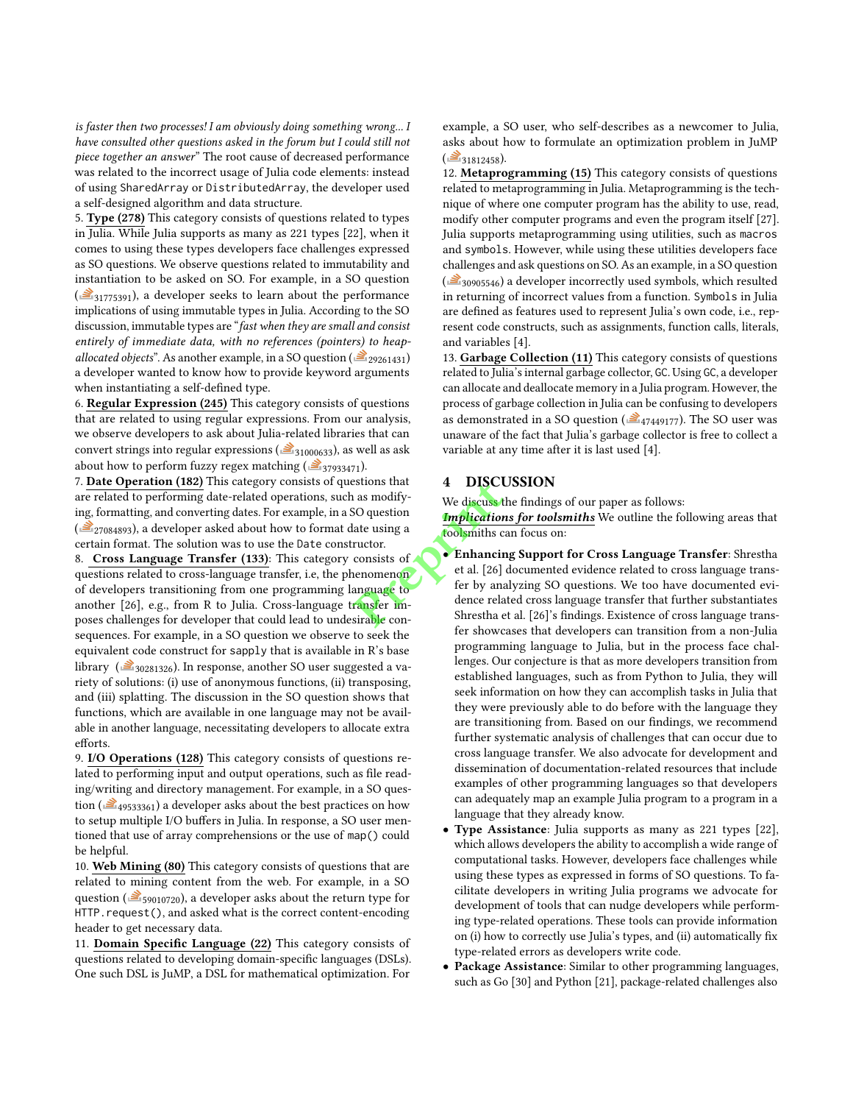is faster then two processes! I am obviously doing something wrong... I have consulted other questions asked in the forum but I could still not piece together an answer" The root cause of decreased performance was related to the incorrect usage of Julia code elements: instead of using SharedArray or DistributedArray, the developer used a self-designed algorithm and data structure.

5. Type (278) This category consists of questions related to types in Julia. While Julia supports as many as 221 types [22], when it comes to using these types developers face challenges expressed as SO questions. We observe questions related to immutability and instantiation to be asked on SO. For example, in a SO question  $\left(\frac{3}{2}, \frac{3}{1775391}\right)$ , a developer seeks to learn about the performance implications of using immutable types in Julia. According to the SO discussion, immutable types are "fast when they are small and consist entirely of immediate data, with no references (pointers) to heapallocated objects". As another example, in a SO question ( $\geq 29261431$ ) a developer wanted to know how to provide keyword arguments when instantiating a self-defined type.

6. Regular Expression (245) This category consists of questions that are related to using regular expressions. From our analysis, we observe developers to ask about Julia-related libraries that can convert strings into regular expressions ( $\geq 31000633$ ), as well as ask about how to perform fuzzy regex matching ( $\geq$ <sub>37933471</sub>).

7. Date Operation (182) This category consists of questions that are related to performing date-related operations, such as modifying, formatting, and converting dates. For example, in a SO question  $\left(\frac{\geq}{27084893}\right)$ , a developer asked about how to format date using a certain format. The solution was to use the Date constructor.

8. Cross Language Transfer (133): This category consists of questions related to cross-language transfer, i.e, the phenomenon of developers transitioning from one programming language to another [26], e.g., from R to Julia. Cross-language transfer imposes challenges for developer that could lead to undesirable consequences. For example, in a SO question we observe to seek the equivalent code construct for sapply that is available in R's base library ( $\geq$ <sub>30281326</sub>). In response, another SO user suggested a variety of solutions: (i) use of anonymous functions, (ii) transposing, and (iii) splatting. The discussion in the SO question shows that functions, which are available in one language may not be available in another language, necessitating developers to allocate extra efforts.

9. I/O Operations (128) This category consists of questions related to performing input and output operations, such as file reading/writing and directory management. For example, in a SO question ( $\triangleq$ <sub>49533361</sub>) a developer asks about the best practices on how to setup multiple I/O buffers in Julia. In response, a SO user mentioned that use of array comprehensions or the use of map() could be helpful.

10. Web Mining (80) This category consists of questions that are related to mining content from the web. For example, in a SO question ( $\geq$ <sub>59010720</sub>), a developer asks about the return type for HTTP.request(), and asked what is the correct content-encoding header to get necessary data.

11. Domain Specific Language (22) This category consists of questions related to developing domain-specific languages (DSLs). One such DSL is JuMP, a DSL for mathematical optimization. For

example, a SO user, who self-describes as a newcomer to Julia, asks about how to formulate an optimization problem in JuMP  $\left( \frac{3}{2} \right)$  31812458).

12. Metaprogramming (15) This category consists of questions related to metaprogramming in Julia. Metaprogramming is the technique of where one computer program has the ability to use, read, modify other computer programs and even the program itself [27]. Julia supports metaprogramming using utilities, such as macros and symbols. However, while using these utilities developers face challenges and ask questions on SO. As an example, in a SO question  $\left(\frac{\geqslant}{\geqslant}\right)$  a developer incorrectly used symbols, which resulted in returning of incorrect values from a function. Symbols in Julia are defined as features used to represent Julia's own code, i.e., represent code constructs, such as assignments, function calls, literals, and variables [4].

13. Garbage Collection (11) This category consists of questions related to Julia's internal garbage collector, GC. Using GC, a developer can allocate and deallocate memory in a Julia program. However, the process of garbage collection in Julia can be confusing to developers as demonstrated in a SO question ( $\triangleq$ <sub>47449177</sub>). The SO user was unaware of the fact that Julia's garbage collector is free to collect a variable at any time after it is last used [4].

# 4 DISCUSSION

We discuss the findings of our paper as follows:

Implications for toolsmiths We outline the following areas that toolsmiths can focus on:

- Enhancing Support for Cross Language Transfer: Shrestha et al. [26] documented evidence related to cross language transfer by analyzing SO questions. We too have documented evidence related cross language transfer that further substantiates Shrestha et al. [26]'s findings. Existence of cross language transfer showcases that developers can transition from a non-Julia programming language to Julia, but in the process face challenges. Our conjecture is that as more developers transition from established languages, such as from Python to Julia, they will seek information on how they can accomplish tasks in Julia that they were previously able to do before with the language they are transitioning from. Based on our findings, we recommend further systematic analysis of challenges that can occur due to cross language transfer. We also advocate for development and dissemination of documentation-related resources that include examples of other programming languages so that developers can adequately map an example Julia program to a program in a language that they already know. Frequency of the discussed as modify-<br>
A as modify-<br>
SO question<br>
and the discussed are tools in the consists of<br>
the al. [26]<br>
Transfer im-<br>
Sirable con-<br>
Since the constant of the single con-<br>
Since the single con-<br>
Sinc
	- Type Assistance: Julia supports as many as 221 types [22], which allows developers the ability to accomplish a wide range of computational tasks. However, developers face challenges while using these types as expressed in forms of SO questions. To facilitate developers in writing Julia programs we advocate for development of tools that can nudge developers while performing type-related operations. These tools can provide information on (i) how to correctly use Julia's types, and (ii) automatically fix type-related errors as developers write code.
	- Package Assistance: Similar to other programming languages, such as Go [30] and Python [21], package-related challenges also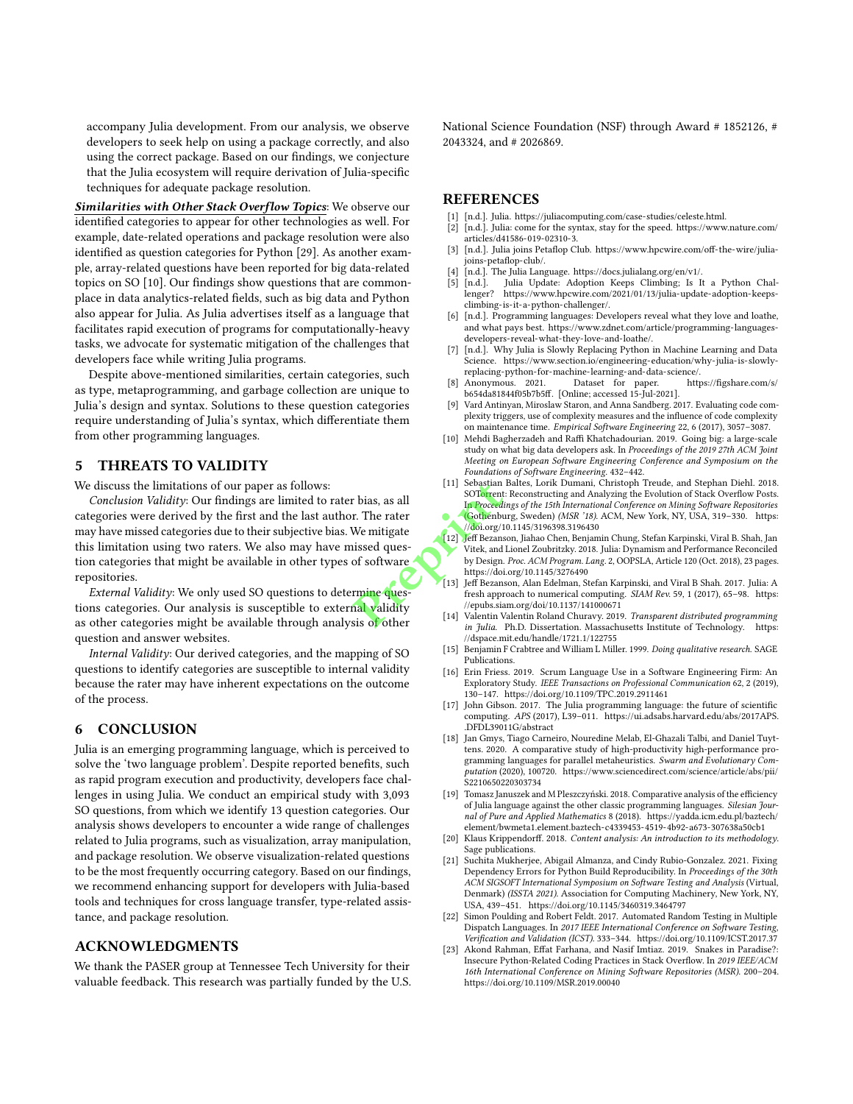accompany Julia development. From our analysis, we observe developers to seek help on using a package correctly, and also using the correct package. Based on our findings, we conjecture that the Julia ecosystem will require derivation of Julia-specific techniques for adequate package resolution.

Similarities with Other Stack Overflow Topics: We observe our identified categories to appear for other technologies as well. For example, date-related operations and package resolution were also identified as question categories for Python [29]. As another example, array-related questions have been reported for big data-related topics on SO [10]. Our findings show questions that are commonplace in data analytics-related fields, such as big data and Python also appear for Julia. As Julia advertises itself as a language that facilitates rapid execution of programs for computationally-heavy tasks, we advocate for systematic mitigation of the challenges that developers face while writing Julia programs.

Despite above-mentioned similarities, certain categories, such as type, metaprogramming, and garbage collection are unique to Julia's design and syntax. Solutions to these question categories require understanding of Julia's syntax, which differentiate them from other programming languages.

## 5 THREATS TO VALIDITY

We discuss the limitations of our paper as follows:

Conclusion Validity: Our findings are limited to rater bias, as all categories were derived by the first and the last author. The rater may have missed categories due to their subjective bias. We mitigate this limitation using two raters. We also may have missed question categories that might be available in other types of software repositories. Franch (11) Sebastian<br>
IT Sebastian<br>
In Proceed<br>
In Proceed<br>
We mitigate<br>
We mitigate<br>
We mitigate<br>
We mitigate<br>
We mitigate<br>
Prepries (doing to the byper ball validity<br>
IT Seignal<br>
Prepries the phyper start of the press,<br>

External Validity: We only used SO questions to determine questions categories. Our analysis is susceptible to external validity as other categories might be available through analysis of other question and answer websites.

Internal Validity: Our derived categories, and the mapping of SO questions to identify categories are susceptible to internal validity because the rater may have inherent expectations on the outcome of the process.

# 6 CONCLUSION

Julia is an emerging programming language, which is perceived to solve the 'two language problem'. Despite reported benefits, such as rapid program execution and productivity, developers face challenges in using Julia. We conduct an empirical study with 3,093 SO questions, from which we identify 13 question categories. Our analysis shows developers to encounter a wide range of challenges related to Julia programs, such as visualization, array manipulation, and package resolution. We observe visualization-related questions to be the most frequently occurring category. Based on our findings, we recommend enhancing support for developers with Julia-based tools and techniques for cross language transfer, type-related assistance, and package resolution.

## ACKNOWLEDGMENTS

We thank the PASER group at Tennessee Tech University for their valuable feedback. This research was partially funded by the U.S. National Science Foundation (NSF) through Award # 1852126, # 2043324, and # 2026869.

# REFERENCES

- [1] [n.d.]. Julia. https://juliacomputing.com/case-studies/celeste.html.
- [n.d.]. Julia: come for the syntax, stay for the speed. https://www.nature.com/ articles/d41586-019-02310-3.
- [3] [n.d.]. Julia joins Petaflop Club. https://www.hpcwire.com/off-the-wire/juliajoins-petaflop-club/.
- [4] [n.d.]. The Julia Language. https://docs.julialang.org/en/v1/.
- [n.d.]. Julia Update: Adoption Keeps Climbing; Is It a Python Chal-<br>lenger? https://www.hpcwire.com/2021/01/13/julia-update-adoption-keepshttps://www.hpcwire.com/2021/01/13/julia-update-adoption-keepsclimbing-is-it-a-python-challenger/.
- [6] [n.d.]. Programming languages: Developers reveal what they love and loathe, and what pays best. https://www.zdnet.com/article/programming-languagesdevelopers-reveal-what-they-love-and-loathe/.
- [7] [n.d.]. Why Julia is Slowly Replacing Python in Machine Learning and Data Science. https://www.section.io/engineering-education/why-julia-is-slowlyreplacing-python-for-machine-learning-and-data-science/.
- [8] Anonymous. 2021. Dataset for paper. https://figshare.com/s/ b654da81844f05b7b5ff. [Online; accessed 15-Jul-2021].
- [9] Vard Antinyan, Miroslaw Staron, and Anna Sandberg. 2017. Evaluating code complexity triggers, use of complexity measures and the influence of code complexity on maintenance time. Empirical Software Engineering 22, 6 (2017), 3057–3087.
- [10] Mehdi Bagherzadeh and Raffi Khatchadourian. 2019. Going big: a large-scale study on what big data developers ask. In Proceedings of the 2019 27th ACM Joint Meeting on European Software Engineering Conference and Symposium on the Foundations of Software Engineering. 432–442.
- [11] Sebastian Baltes, Lorik Dumani, Christoph Treude, and Stephan Diehl. 2018. SOTorrent: Reconstructing and Analyzing the Evolution of Stack Overflow Posts. In Proceedings of the 15th International Conference on Mining Software Repositories (Gothenburg, Sweden) (MSR '18). ACM, New York, NY, USA, 319–330. https: //doi.org/10.1145/3196398.3196430
- [12] Jeff Bezanson, Jiahao Chen, Benjamin Chung, Stefan Karpinski, Viral B. Shah, Jan Vitek, and Lionel Zoubritzky. 2018. Julia: Dynamism and Performance Reconciled by Design. Proc. ACM Program. Lang. 2, OOPSLA, Article 120 (Oct. 2018), 23 pages. https://doi.org/10.1145/3276490
- [13] Jeff Bezanson, Alan Edelman, Stefan Karpinski, and Viral B Shah. 2017. Julia: A fresh approach to numerical computing. SIAM Rev. 59, 1 (2017), 65-98. https: //epubs.siam.org/doi/10.1137/141000671
- [14] Valentin Valentin Roland Churavy. 2019. Transparent distributed programming in Julia. Ph.D. Dissertation. Massachusetts Institute of Technology. https: //dspace.mit.edu/handle/1721.1/122755
- [15] Benjamin F Crabtree and William L Miller. 1999. Doing qualitative research. SAGE Publications.
- [16] Erin Friess. 2019. Scrum Language Use in a Software Engineering Firm: An Exploratory Study. IEEE Transactions on Professional Communication 62, 2 (2019), 130–147. https://doi.org/10.1109/TPC.2019.2911461
- [17] John Gibson. 2017. The Julia programming language: the future of scientific computing. APS (2017), L39–011. https://ui.adsabs.harvard.edu/abs/2017APS. .DFDL39011G/abstract
- [18] Jan Gmys, Tiago Carneiro, Nouredine Melab, El-Ghazali Talbi, and Daniel Tuyttens. 2020. A comparative study of high-productivity high-performance programming languages for parallel metaheuristics. Swarm and Evolutionary Computation (2020), 100720. https://www.sciencedirect.com/science/article/abs/pii/ S2210650220303734
- [19] Tomasz Januszek and M Pleszczyński. 2018. Comparative analysis of the efficiency of Julia language against the other classic programming languages. Silesian Journal of Pure and Applied Mathematics 8 (2018). https://yadda.icm.edu.pl/baztech/ element/bwmeta1.element.baztech-c4339453-4519-4b92-a673-307638a50cb1
- [20] Klaus Krippendorff. 2018. Content analysis: An introduction to its methodology Sage publications.
- [21] Suchita Mukherjee, Abigail Almanza, and Cindy Rubio-Gonzalez. 2021. Fixing Dependency Errors for Python Build Reproducibility. In Proceedings of the 30th ACM SIGSOFT International Symposium on Software Testing and Analysis (Virtual, Denmark) (ISSTA 2021). Association for Computing Machinery, New York, NY, USA, 439–451. https://doi.org/10.1145/3460319.3464797
- [22] Simon Poulding and Robert Feldt. 2017. Automated Random Testing in Multiple Dispatch Languages. In 2017 IEEE International Conference on Software Testing, Verification and Validation (ICST). 333–344. https://doi.org/10.1109/ICST.2017.37
- [23] Akond Rahman, Effat Farhana, and Nasif Imtiaz. 2019. Snakes in Paradise?: Insecure Python-Related Coding Practices in Stack Overflow. In 2019 IEEE/ACM 16th International Conference on Mining Software Repositories (MSR). 200–204. https://doi.org/10.1109/MSR.2019.00040